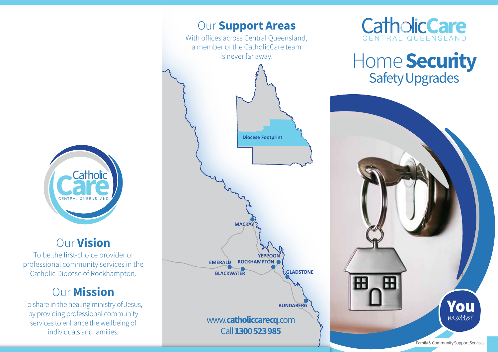

### Our Vision

To be the first-choice provider of professional community services in the Catholic Diocese of Rockhampton.

## **Our Mission**

To share in the healing ministry of Jesus, by providing professional community services to enhance the wellbeing of individuals and families.





## Home Security Safety Upgrades